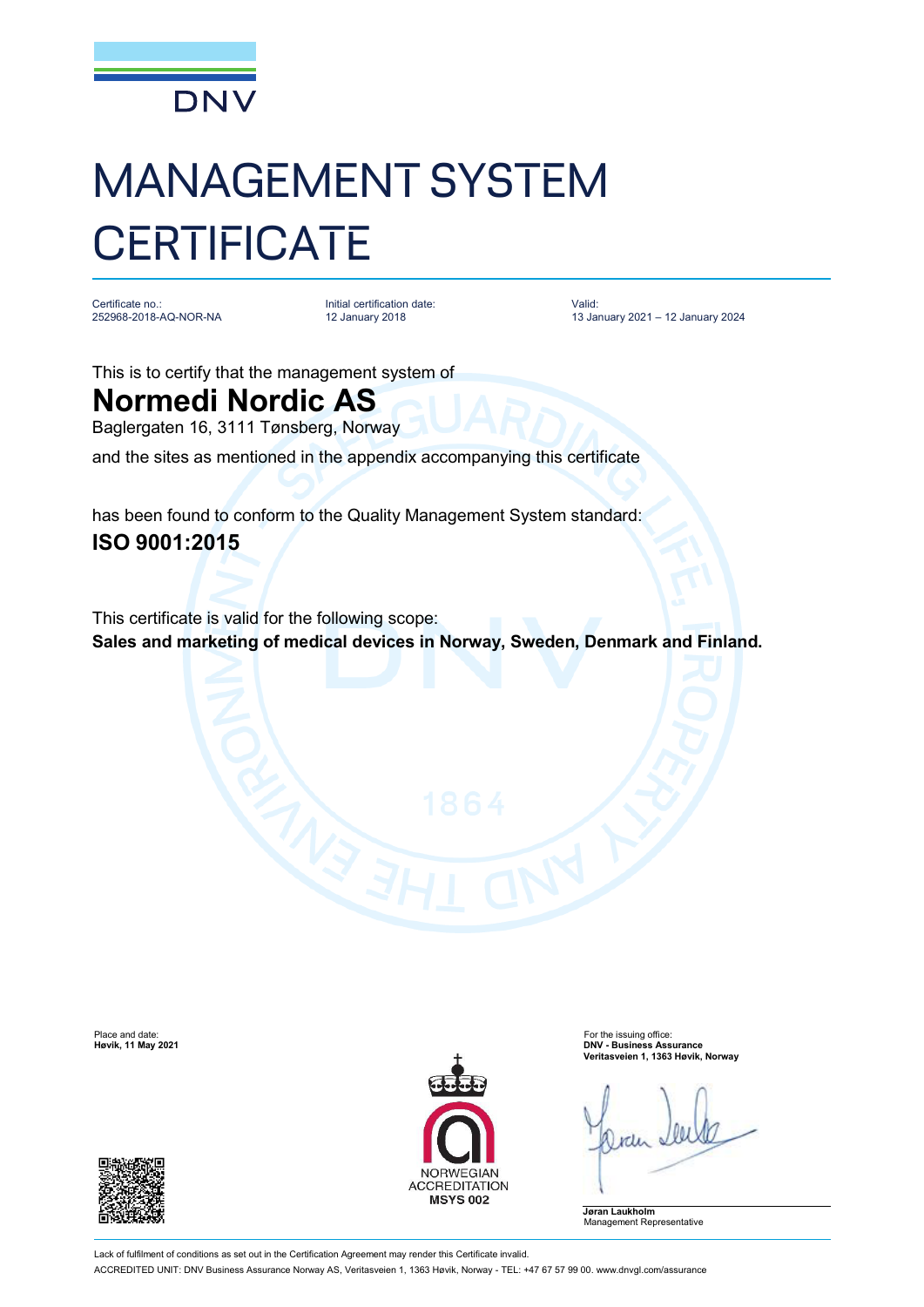

## MANAGEMENT SYSTEM **CERTIFICATE**

Certificate no.: 252968-2018-AQ-NOR-NA

Initial certification date: 12 January 2018

Valid: 13 January 2021 – 12 January 2024

This is to certify that the management system of

## **Normedi Nordic AS**

Baglergaten 16, 3111 Tønsberg, Norway

and the sites as mentioned in the appendix accompanying this certificate

has been found to conform to the Quality Management System standard: **ISO 9001:2015**

This certificate is valid for the following scope: **Sales and marketing of medical devices in Norway, Sweden, Denmark and Finland.**





Place and date: For the issuing office: **Høvik, 11 May 2021 DNV - Business Assurance Veritasveien 1, 1363 Høvik, Norway**

**Jøran Laukholm** Management Representative

Lack of fulfilment of conditions as set out in the Certification Agreement may render this Certificate invalid. ACCREDITED UNIT: DNV Business Assurance Norway AS, Veritasveien 1, 1363 Høvik, Norway - TEL: +47 67 57 99 00. [www.dnvgl.com/assurance](http://www.dnvgl.com/assurance)